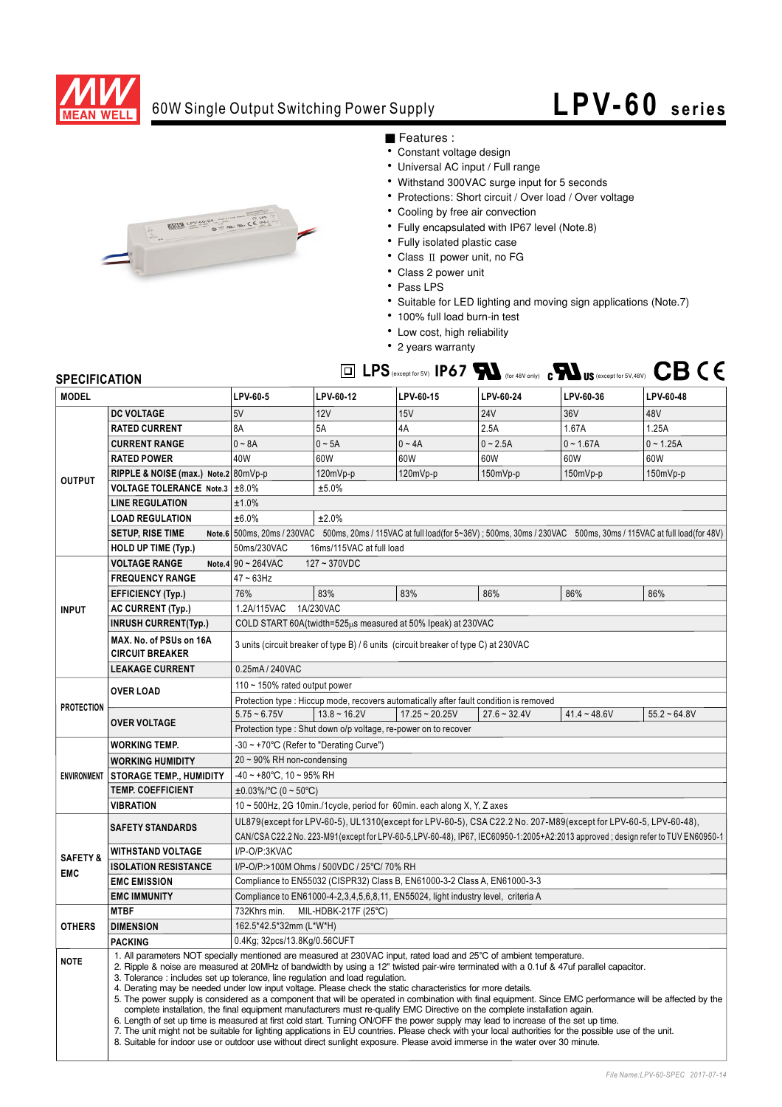

## 60W Single Output Switching Power Supply

## **LPV-60 series**



■ Features :

- Constant voltage design
- Universal AC input / Full range
- Withstand 300VAC surge input for 5 seconds
- Protections: Short circuit / Over load / Over voltage
- Cooling by free air convection
- Fully encapsulated with IP67 level (Note.8)

 $LPS$   $_{\text{except for 5V}}$   $IP67$   $\blacktriangleright$   $_{\text{for 48V only)}}$   $_{\text{c}}$   $\blacktriangleright$   $_{\text{US (except for 5V,48V)}}$ 

- Fully isolated plastic case
- Class II power unit, no FG
- Class 2 power unit
- $\cdot$  Pass LPS
- Suitable for LED lighting and moving sign applications (Note.7)
- 100% full load burn-in test
- Low cost, high reliability
- 2 years warranty

## **SPECIFICATION**

| <b>MODEL</b>                     |                                                   | LPV-60-5                                                                                                                                                                                                                                                                                                                                                                                                                                                                                                                                                                                                                                                                                                                                                                                                                                                                                                                                                                                                                                                                                                                                                                                      | LPV-60-12      | LPV-60-15        | LPV-60-24      | LPV-60-36      | LPV-60-48      |  |
|----------------------------------|---------------------------------------------------|-----------------------------------------------------------------------------------------------------------------------------------------------------------------------------------------------------------------------------------------------------------------------------------------------------------------------------------------------------------------------------------------------------------------------------------------------------------------------------------------------------------------------------------------------------------------------------------------------------------------------------------------------------------------------------------------------------------------------------------------------------------------------------------------------------------------------------------------------------------------------------------------------------------------------------------------------------------------------------------------------------------------------------------------------------------------------------------------------------------------------------------------------------------------------------------------------|----------------|------------------|----------------|----------------|----------------|--|
| <b>OUTPUT</b>                    | <b>DC VOLTAGE</b>                                 | 5V                                                                                                                                                                                                                                                                                                                                                                                                                                                                                                                                                                                                                                                                                                                                                                                                                                                                                                                                                                                                                                                                                                                                                                                            | 12V            | 15V              | <b>24V</b>     | 36V            | 48V            |  |
|                                  | <b>RATED CURRENT</b>                              | 8A                                                                                                                                                                                                                                                                                                                                                                                                                                                                                                                                                                                                                                                                                                                                                                                                                                                                                                                                                                                                                                                                                                                                                                                            | <b>5A</b>      | 4A               | 2.5A           | 1.67A          | 1.25A          |  |
|                                  | <b>CURRENT RANGE</b>                              | $0 \sim 8A$                                                                                                                                                                                                                                                                                                                                                                                                                                                                                                                                                                                                                                                                                                                                                                                                                                                                                                                                                                                                                                                                                                                                                                                   | $0 - 5A$       | $0 \sim 4A$      | $0 - 2.5A$     | $0 - 1.67A$    | $0 - 1.25A$    |  |
|                                  | <b>RATED POWER</b>                                | 40W                                                                                                                                                                                                                                                                                                                                                                                                                                                                                                                                                                                                                                                                                                                                                                                                                                                                                                                                                                                                                                                                                                                                                                                           | 60W            | 60W              | 60W            | 60W            | 60W            |  |
|                                  | RIPPLE & NOISE (max.) Note.2 80mVp-p              |                                                                                                                                                                                                                                                                                                                                                                                                                                                                                                                                                                                                                                                                                                                                                                                                                                                                                                                                                                                                                                                                                                                                                                                               | 120mVp-p       | 120mVp-p         | 150mVp-p       | $150mVp-p$     | 150mVp-p       |  |
|                                  | VOLTAGE TOLERANCE Note.3 ±8.0%                    | ±5.0%                                                                                                                                                                                                                                                                                                                                                                                                                                                                                                                                                                                                                                                                                                                                                                                                                                                                                                                                                                                                                                                                                                                                                                                         |                |                  |                |                |                |  |
|                                  | <b>LINE REGULATION</b>                            | ±1.0%                                                                                                                                                                                                                                                                                                                                                                                                                                                                                                                                                                                                                                                                                                                                                                                                                                                                                                                                                                                                                                                                                                                                                                                         |                |                  |                |                |                |  |
|                                  | <b>LOAD REGULATION</b>                            | ±6.0%<br>±2.0%                                                                                                                                                                                                                                                                                                                                                                                                                                                                                                                                                                                                                                                                                                                                                                                                                                                                                                                                                                                                                                                                                                                                                                                |                |                  |                |                |                |  |
|                                  | <b>SETUP, RISE TIME</b>                           | Note.6 500ms, 20ms / 230VAC 500ms, 20ms / 115VAC at full load(for 5~36V); 500ms, 30ms / 230VAC 500ms, 30ms / 115VAC at full load(for 48V)                                                                                                                                                                                                                                                                                                                                                                                                                                                                                                                                                                                                                                                                                                                                                                                                                                                                                                                                                                                                                                                     |                |                  |                |                |                |  |
|                                  | <b>HOLD UP TIME (Typ.)</b>                        | 50ms/230VAC<br>16ms/115VAC at full load                                                                                                                                                                                                                                                                                                                                                                                                                                                                                                                                                                                                                                                                                                                                                                                                                                                                                                                                                                                                                                                                                                                                                       |                |                  |                |                |                |  |
|                                  | <b>VOLTAGE RANGE</b>                              | Note.4 $90 - 264$ VAC<br>127~370VDC                                                                                                                                                                                                                                                                                                                                                                                                                                                                                                                                                                                                                                                                                                                                                                                                                                                                                                                                                                                                                                                                                                                                                           |                |                  |                |                |                |  |
| <b>INPUT</b>                     | <b>FREQUENCY RANGE</b>                            | $47 \sim 63$ Hz                                                                                                                                                                                                                                                                                                                                                                                                                                                                                                                                                                                                                                                                                                                                                                                                                                                                                                                                                                                                                                                                                                                                                                               |                |                  |                |                |                |  |
|                                  | <b>EFFICIENCY (Typ.)</b>                          | 76%                                                                                                                                                                                                                                                                                                                                                                                                                                                                                                                                                                                                                                                                                                                                                                                                                                                                                                                                                                                                                                                                                                                                                                                           | 83%            | 83%              | 86%            | 86%            | 86%            |  |
|                                  | AC CURRENT (Typ.)                                 | 1A/230VAC<br>1.2A/115VAC                                                                                                                                                                                                                                                                                                                                                                                                                                                                                                                                                                                                                                                                                                                                                                                                                                                                                                                                                                                                                                                                                                                                                                      |                |                  |                |                |                |  |
|                                  | <b>INRUSH CURRENT(Typ.)</b>                       | COLD START 60A(twidth=525us measured at 50% Ipeak) at 230VAC                                                                                                                                                                                                                                                                                                                                                                                                                                                                                                                                                                                                                                                                                                                                                                                                                                                                                                                                                                                                                                                                                                                                  |                |                  |                |                |                |  |
|                                  | MAX. No. of PSUs on 16A<br><b>CIRCUIT BREAKER</b> | 3 units (circuit breaker of type B) / 6 units (circuit breaker of type C) at 230VAC                                                                                                                                                                                                                                                                                                                                                                                                                                                                                                                                                                                                                                                                                                                                                                                                                                                                                                                                                                                                                                                                                                           |                |                  |                |                |                |  |
|                                  | <b>LEAKAGE CURRENT</b>                            | 0.25mA / 240VAC                                                                                                                                                                                                                                                                                                                                                                                                                                                                                                                                                                                                                                                                                                                                                                                                                                                                                                                                                                                                                                                                                                                                                                               |                |                  |                |                |                |  |
| <b>PROTECTION</b>                | <b>OVER LOAD</b>                                  | 110 $\sim$ 150% rated output power                                                                                                                                                                                                                                                                                                                                                                                                                                                                                                                                                                                                                                                                                                                                                                                                                                                                                                                                                                                                                                                                                                                                                            |                |                  |                |                |                |  |
|                                  |                                                   | Protection type : Hiccup mode, recovers automatically after fault condition is removed                                                                                                                                                                                                                                                                                                                                                                                                                                                                                                                                                                                                                                                                                                                                                                                                                                                                                                                                                                                                                                                                                                        |                |                  |                |                |                |  |
|                                  | <b>OVER VOLTAGE</b>                               | $5.75 - 6.75V$                                                                                                                                                                                                                                                                                                                                                                                                                                                                                                                                                                                                                                                                                                                                                                                                                                                                                                                                                                                                                                                                                                                                                                                | $13.8 - 16.2V$ | $17.25 - 20.25V$ | $27.6 - 32.4V$ | $41.4 - 48.6V$ | $55.2 - 64.8V$ |  |
|                                  |                                                   | Protection type : Shut down o/p voltage, re-power on to recover                                                                                                                                                                                                                                                                                                                                                                                                                                                                                                                                                                                                                                                                                                                                                                                                                                                                                                                                                                                                                                                                                                                               |                |                  |                |                |                |  |
| <b>ENVIRONMENT</b>               | <b>WORKING TEMP.</b>                              | -30 ~ +70°C (Refer to "Derating Curve")                                                                                                                                                                                                                                                                                                                                                                                                                                                                                                                                                                                                                                                                                                                                                                                                                                                                                                                                                                                                                                                                                                                                                       |                |                  |                |                |                |  |
|                                  | <b>WORKING HUMIDITY</b>                           | 20 ~ 90% RH non-condensing                                                                                                                                                                                                                                                                                                                                                                                                                                                                                                                                                                                                                                                                                                                                                                                                                                                                                                                                                                                                                                                                                                                                                                    |                |                  |                |                |                |  |
|                                  | <b>STORAGE TEMP., HUMIDITY</b>                    | $-40 \sim +80^{\circ}$ C, 10 ~ 95% RH                                                                                                                                                                                                                                                                                                                                                                                                                                                                                                                                                                                                                                                                                                                                                                                                                                                                                                                                                                                                                                                                                                                                                         |                |                  |                |                |                |  |
|                                  | <b>TEMP. COEFFICIENT</b>                          | $\pm 0.03\%$ /°C (0 ~ 50°C)                                                                                                                                                                                                                                                                                                                                                                                                                                                                                                                                                                                                                                                                                                                                                                                                                                                                                                                                                                                                                                                                                                                                                                   |                |                  |                |                |                |  |
|                                  | <b>VIBRATION</b>                                  | 10 ~ 500Hz, 2G 10min./1cycle, period for 60min. each along X, Y, Z axes                                                                                                                                                                                                                                                                                                                                                                                                                                                                                                                                                                                                                                                                                                                                                                                                                                                                                                                                                                                                                                                                                                                       |                |                  |                |                |                |  |
| <b>SAFETY&amp;</b><br><b>EMC</b> | <b>SAFETY STANDARDS</b>                           | UL879(except for LPV-60-5), UL1310(except for LPV-60-5), CSA C22.2 No. 207-M89(except for LPV-60-5, LPV-60-48),<br>CAN/CSA C22.2 No. 223-M91(except for LPV-60-5,LPV-60-48), IP67, IEC60950-1:2005+A2:2013 approved; design refer to TUV EN60950-1                                                                                                                                                                                                                                                                                                                                                                                                                                                                                                                                                                                                                                                                                                                                                                                                                                                                                                                                            |                |                  |                |                |                |  |
|                                  | <b>WITHSTAND VOLTAGE</b>                          | I/P-O/P:3KVAC                                                                                                                                                                                                                                                                                                                                                                                                                                                                                                                                                                                                                                                                                                                                                                                                                                                                                                                                                                                                                                                                                                                                                                                 |                |                  |                |                |                |  |
|                                  | <b>ISOLATION RESISTANCE</b>                       | I/P-O/P:>100M Ohms / 500VDC / 25°C/ 70% RH                                                                                                                                                                                                                                                                                                                                                                                                                                                                                                                                                                                                                                                                                                                                                                                                                                                                                                                                                                                                                                                                                                                                                    |                |                  |                |                |                |  |
|                                  | <b>EMC EMISSION</b>                               | Compliance to EN55032 (CISPR32) Class B, EN61000-3-2 Class A, EN61000-3-3                                                                                                                                                                                                                                                                                                                                                                                                                                                                                                                                                                                                                                                                                                                                                                                                                                                                                                                                                                                                                                                                                                                     |                |                  |                |                |                |  |
|                                  | <b>EMC IMMUNITY</b>                               | Compliance to EN61000-4-2,3,4,5,6,8,11, EN55024, light industry level, criteria A                                                                                                                                                                                                                                                                                                                                                                                                                                                                                                                                                                                                                                                                                                                                                                                                                                                                                                                                                                                                                                                                                                             |                |                  |                |                |                |  |
| <b>OTHERS</b>                    | <b>MTBF</b>                                       | 732Khrs min. MIL-HDBK-217F (25°C)                                                                                                                                                                                                                                                                                                                                                                                                                                                                                                                                                                                                                                                                                                                                                                                                                                                                                                                                                                                                                                                                                                                                                             |                |                  |                |                |                |  |
|                                  | <b>DIMENSION</b>                                  | 162.5*42.5*32mm (L*W*H)                                                                                                                                                                                                                                                                                                                                                                                                                                                                                                                                                                                                                                                                                                                                                                                                                                                                                                                                                                                                                                                                                                                                                                       |                |                  |                |                |                |  |
|                                  | <b>PACKING</b>                                    | 0.4Kg; 32pcs/13.8Kg/0.56CUFT                                                                                                                                                                                                                                                                                                                                                                                                                                                                                                                                                                                                                                                                                                                                                                                                                                                                                                                                                                                                                                                                                                                                                                  |                |                  |                |                |                |  |
| <b>NOTE</b>                      |                                                   | 1. All parameters NOT specially mentioned are measured at 230VAC input, rated load and 25°C of ambient temperature.<br>2. Ripple & noise are measured at 20MHz of bandwidth by using a 12" twisted pair-wire terminated with a 0.1uf & 47uf parallel capacitor.<br>3. Tolerance: includes set up tolerance, line regulation and load regulation.<br>4. Derating may be needed under low input voltage. Please check the static characteristics for more details.<br>5. The power supply is considered as a component that will be operated in combination with final equipment. Since EMC performance will be affected by the<br>complete installation, the final equipment manufacturers must re-qualify EMC Directive on the complete installation again.<br>6. Length of set up time is measured at first cold start. Turning ON/OFF the power supply may lead to increase of the set up time.<br>7. The unit might not be suitable for lighting applications in EU countries. Please check with your local authorities for the possible use of the unit.<br>8. Suitable for indoor use or outdoor use without direct sunlight exposure. Please avoid immerse in the water over 30 minute. |                |                  |                |                |                |  |